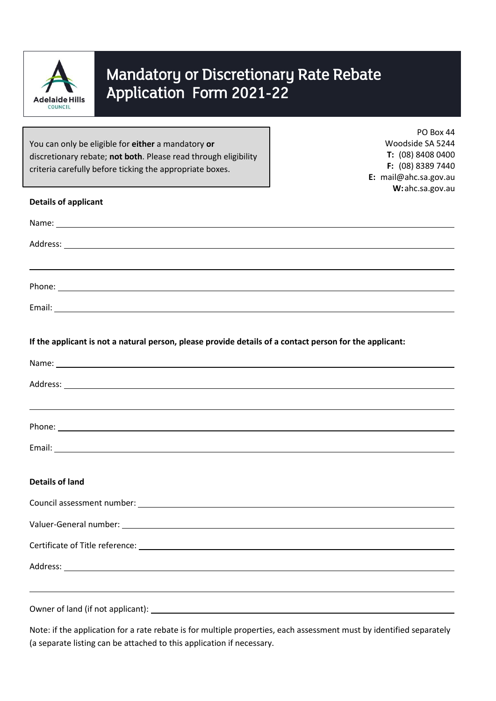

# Mandatory or Discretionary Rate Rebate Application Form 2021-22

You can only be eligible for **either** a mandatory **or** discretionary rebate; **not both**. Please read through eligibility criteria carefully before ticking the appropriate boxes.

PO Box 44 Woodside SA 5244 **T:** (08) 8408 0400 **F:** (08) 8389 7440 **E:** mail@ahc.sa.gov.au **W:**ahc.sa.gov.au

| <b>Details of applicant</b>                                                                             |
|---------------------------------------------------------------------------------------------------------|
|                                                                                                         |
|                                                                                                         |
|                                                                                                         |
|                                                                                                         |
|                                                                                                         |
| If the applicant is not a natural person, please provide details of a contact person for the applicant: |
|                                                                                                         |
|                                                                                                         |
|                                                                                                         |
|                                                                                                         |
| <b>Details of land</b>                                                                                  |
|                                                                                                         |
|                                                                                                         |
|                                                                                                         |
|                                                                                                         |
|                                                                                                         |
|                                                                                                         |

Note: if the application for a rate rebate is for multiple properties, each assessment must by identified separately (a separate listing can be attached to this application if necessary.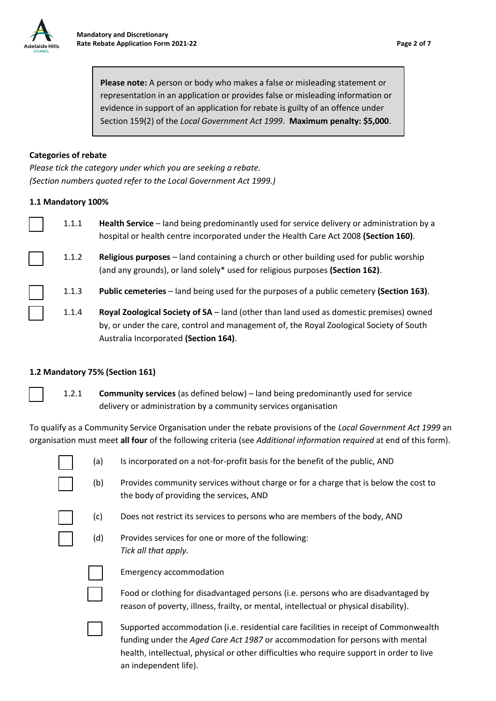

**Please note:** A person or body who makes a false or misleading statement or representation in an application or provides false or misleading information or evidence in support of an application for rebate is guilty of an offence under Section 159(2) of the *Local Government Act 1999*. **Maximum penalty: \$5,000**.

## **Categories of rebate**

*Please tick the category under which you are seeking a rebate. (Section numbers quoted refer to the Local Government Act 1999.)*

## **1.1 Mandatory 100%**

| 1.1.1 | Health Service - land being predominantly used for service delivery or administration by a<br>hospital or health centre incorporated under the Health Care Act 2008 (Section 160). |
|-------|------------------------------------------------------------------------------------------------------------------------------------------------------------------------------------|
| 1.1.2 | Religious purposes - land containing a church or other building used for public worship<br>(and any grounds), or land solely* used for religious purposes (Section 162).           |
| 1.1.3 | <b>Public cemeteries</b> – land being used for the purposes of a public cemetery (Section 163).                                                                                    |
| 1.1.4 | Royal Zoological Society of SA - land (other than land used as domestic premises) owned                                                                                            |

by, or under the care, control and management of, the Royal Zoological Society of South Australia Incorporated **(Section 164)**.

## **1.2 Mandatory 75% (Section 161)**

1.2.1 **Community services** (as defined below) – land being predominantly used for service delivery or administration by a community services organisation

To qualify as a Community Service Organisation under the rebate provisions of the *Local Government Act 1999* an organisation must meet **all four** of the following criteria (see *Additional information required* at end of this form).

| (a) | Is incorporated on a not-for-profit basis for the benefit of the public, AND                                                    |
|-----|---------------------------------------------------------------------------------------------------------------------------------|
| (b) | Provides community services without charge or for a charge that is below the cost to<br>the body of providing the services, AND |
| (c) | Does not restrict its services to persons who are members of the body, AND                                                      |
| (d) | Provides services for one or more of the following:<br>Tick all that apply.                                                     |
|     |                                                                                                                                 |

Emergency accommodation

Food or clothing for disadvantaged persons (i.e. persons who are disadvantaged by reason of poverty, illness, frailty, or mental, intellectual or physical disability).

Supported accommodation (i.e. residential care facilities in receipt of Commonwealth funding under the *Aged Care Act 1987* or accommodation for persons with mental health, intellectual, physical or other difficulties who require support in order to live an independent life).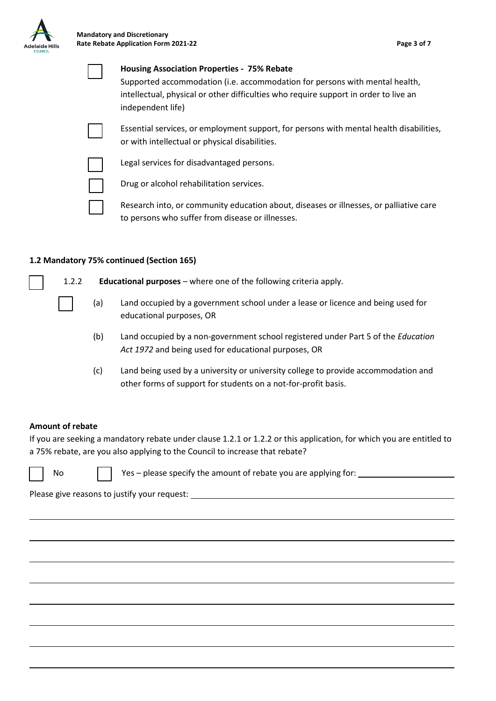

| <b>Housing Association Properties - 75% Rebate</b><br>Supported accommodation (i.e. accommodation for persons with mental health,<br>intellectual, physical or other difficulties who require support in order to live an<br>independent life) |
|------------------------------------------------------------------------------------------------------------------------------------------------------------------------------------------------------------------------------------------------|
| Essential services, or employment support, for persons with mental health disabilities,<br>or with intellectual or physical disabilities.                                                                                                      |
| Legal services for disadvantaged persons.                                                                                                                                                                                                      |
| Drug or alcohol rehabilitation services.                                                                                                                                                                                                       |
| Research into, or community education about, diseases or illnesses, or palliative care<br>to persons who suffer from disease or illnesses.                                                                                                     |

## **1.2 Mandatory 75% continued (Section 165)**



1.2.2 **Educational purposes** – where one of the following criteria apply.

- (a) Land occupied by a government school under a lease or licence and being used for educational purposes, OR
- (b) Land occupied by a non-government school registered under Part 5 of the *Education Act 1972* and being used for educational purposes, OR
- (c) Land being used by a university or university college to provide accommodation and other forms of support for students on a not-for-profit basis.

## **Amount of rebate**

If you are seeking a mandatory rebate under clause 1.2.1 or 1.2.2 or this application, for which you are entitled to a 75% rebate, are you also applying to the Council to increase that rebate?

No  $\vert \vert$  Yes – please specify the amount of rebate you are applying for:

Please give reasons to justify your request: \_\_\_\_\_\_\_\_\_\_\_\_\_\_\_\_\_\_\_\_\_\_\_\_\_\_\_\_\_\_\_\_\_\_\_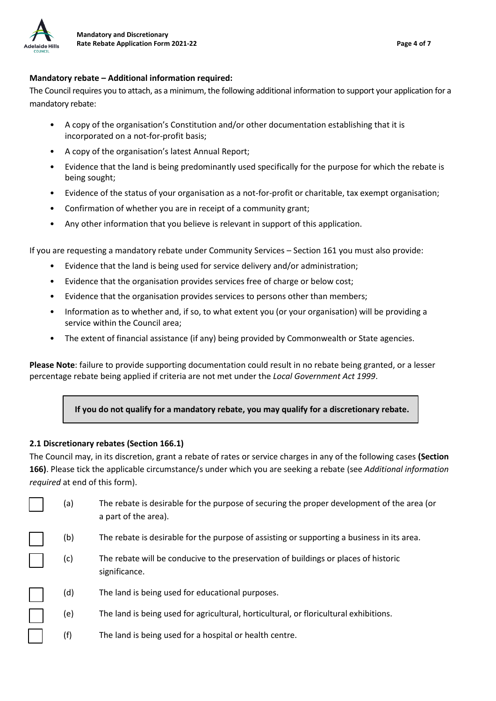

## **Mandatory rebate – Additional information required:**

The Council requires you to attach, as a minimum, the following additional information to support your application for a mandatory rebate:

- A copy of the organisation's Constitution and/or other documentation establishing that it is incorporated on a not-for-profit basis;
- A copy of the organisation's latest Annual Report;
- Evidence that the land is being predominantly used specifically for the purpose for which the rebate is being sought;
- Evidence of the status of your organisation as a not-for-profit or charitable, tax exempt organisation;
- Confirmation of whether you are in receipt of a community grant;
- Any other information that you believe is relevant in support of this application.

If you are requesting a mandatory rebate under Community Services – Section 161 you must also provide:

- Evidence that the land is being used for service delivery and/or administration;
- Evidence that the organisation provides services free of charge or below cost;
- Evidence that the organisation provides services to persons other than members;
- Information as to whether and, if so, to what extent you (or your organisation) will be providing a service within the Council area;
- The extent of financial assistance (if any) being provided by Commonwealth or State agencies.

**Please Note**: failure to provide supporting documentation could result in no rebate being granted, or a lesser percentage rebate being applied if criteria are not met under the *Local Government Act 1999*.

# **If you do not qualify for a mandatory rebate, you may qualify for a discretionary rebate.**

## **2.1 Discretionary rebates (Section 166.1)**

The Council may, in its discretion, grant a rebate of rates or service charges in any of the following cases **(Section 166)**. Please tick the applicable circumstance/s under which you are seeking a rebate (see *Additional information required* at end of this form).

| (a) | The rebate is desirable for the purpose of securing the proper development of the area (or<br>a part of the area). |
|-----|--------------------------------------------------------------------------------------------------------------------|
| (b) | The rebate is desirable for the purpose of assisting or supporting a business in its area.                         |
| (c) | The rebate will be conducive to the preservation of buildings or places of historic<br>significance.               |
| (d) | The land is being used for educational purposes.                                                                   |
| (e) | The land is being used for agricultural, horticultural, or floricultural exhibitions.                              |
| (f) | The land is being used for a hospital or health centre.                                                            |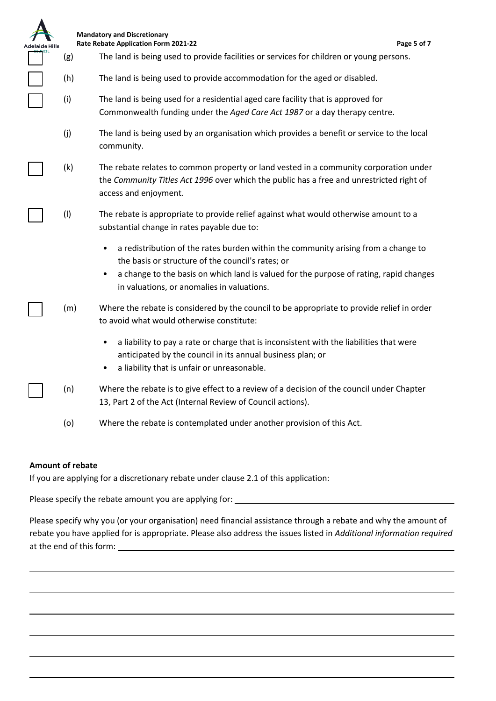|     | <b>Mandatory and Discretionary</b><br><b>Rate Rebate Application Form 2021-22</b><br>Page 5 of 7                                                                                                                                                                                     |
|-----|--------------------------------------------------------------------------------------------------------------------------------------------------------------------------------------------------------------------------------------------------------------------------------------|
| (g) | The land is being used to provide facilities or services for children or young persons.                                                                                                                                                                                              |
| (h) | The land is being used to provide accommodation for the aged or disabled.                                                                                                                                                                                                            |
| (i) | The land is being used for a residential aged care facility that is approved for<br>Commonwealth funding under the Aged Care Act 1987 or a day therapy centre.                                                                                                                       |
| (j) | The land is being used by an organisation which provides a benefit or service to the local<br>community.                                                                                                                                                                             |
| (k) | The rebate relates to common property or land vested in a community corporation under<br>the Community Titles Act 1996 over which the public has a free and unrestricted right of<br>access and enjoyment.                                                                           |
| (1) | The rebate is appropriate to provide relief against what would otherwise amount to a<br>substantial change in rates payable due to:                                                                                                                                                  |
|     | a redistribution of the rates burden within the community arising from a change to<br>the basis or structure of the council's rates; or<br>a change to the basis on which land is valued for the purpose of rating, rapid changes<br>٠<br>in valuations, or anomalies in valuations. |
| (m) | Where the rebate is considered by the council to be appropriate to provide relief in order<br>to avoid what would otherwise constitute:                                                                                                                                              |
|     | a liability to pay a rate or charge that is inconsistent with the liabilities that were<br>anticipated by the council in its annual business plan; or<br>a liability that is unfair or unreasonable.<br>٠                                                                            |
| (n) | Where the rebate is to give effect to a review of a decision of the council under Chapter<br>13, Part 2 of the Act (Internal Review of Council actions).                                                                                                                             |
| (o) | Where the rebate is contemplated under another provision of this Act.                                                                                                                                                                                                                |

## **Amount of rebate**

If you are applying for a discretionary rebate under clause 2.1 of this application:

Please specify the rebate amount you are applying for: \_\_\_\_\_\_\_\_\_\_\_\_\_\_\_\_\_\_\_\_\_\_\_\_\_

Please specify why you (or your organisation) need financial assistance through a rebate and why the amount of rebate you have applied for is appropriate. Please also address the issues listed in *Additional information required*  at the end of this form: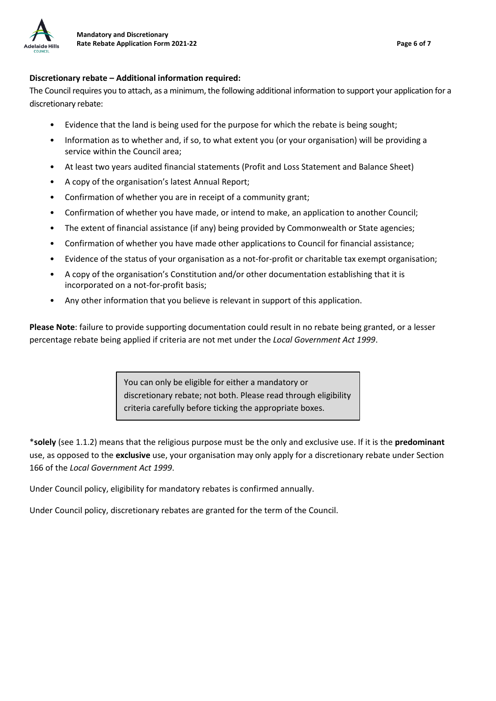

## **Discretionary rebate – Additional information required:**

The Council requires you to attach, as a minimum, the following additional information to support your application for a discretionary rebate:

- Evidence that the land is being used for the purpose for which the rebate is being sought;
- Information as to whether and, if so, to what extent you (or your organisation) will be providing a service within the Council area;
- At least two years audited financial statements (Profit and Loss Statement and Balance Sheet)
- A copy of the organisation's latest Annual Report;
- Confirmation of whether you are in receipt of a community grant;
- Confirmation of whether you have made, or intend to make, an application to another Council;
- The extent of financial assistance (if any) being provided by Commonwealth or State agencies;
- Confirmation of whether you have made other applications to Council for financial assistance;
- Evidence of the status of your organisation as a not-for-profit or charitable tax exempt organisation;
- A copy of the organisation's Constitution and/or other documentation establishing that it is incorporated on a not-for-profit basis;
- Any other information that you believe is relevant in support of this application.

**Please Note**: failure to provide supporting documentation could result in no rebate being granted, or a lesser percentage rebate being applied if criteria are not met under the *Local Government Act 1999*.

> You can only be eligible for either a mandatory or discretionary rebate; not both. Please read through eligibility criteria carefully before ticking the appropriate boxes.

\***solely** (see 1.1.2) means that the religious purpose must be the only and exclusive use. If it is the **predominant** use, as opposed to the **exclusive** use, your organisation may only apply for a discretionary rebate under Section 166 of the *Local Government Act 1999*.

Under Council policy, eligibility for mandatory rebates is confirmed annually.

Under Council policy, discretionary rebates are granted for the term of the Council.